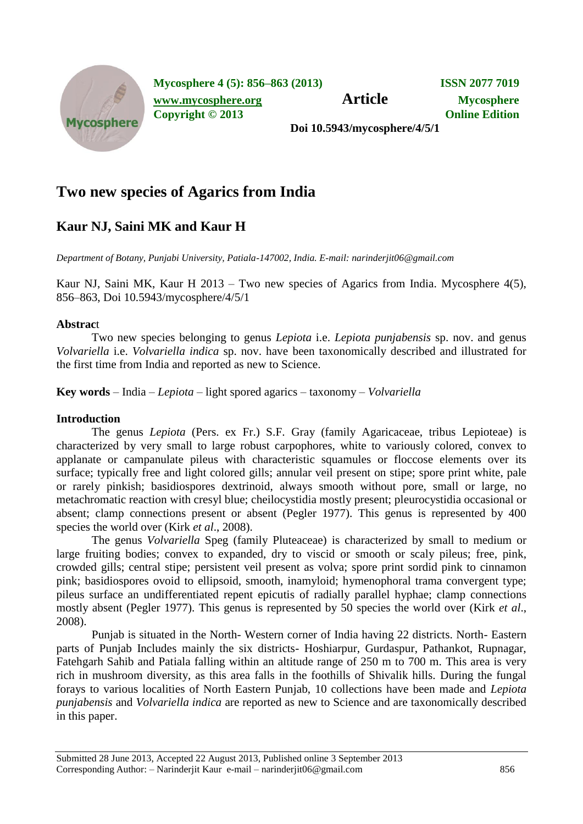

**Mycosphere 4 (5): 856–863 (2013) ISSN 2077 7019**

**[www.mycosphere.org](http://www.mycosphere.org/) Article Mycosphere**

**Copyright © 2013 Online Edition**

**Doi 10.5943/mycosphere/4/5/1**

# **Two new species of Agarics from India**

## **Kaur NJ, Saini MK and Kaur H**

*Department of Botany, Punjabi University, Patiala-147002, India. E-mail: narinderjit06@gmail.com*

Kaur NJ, Saini MK, Kaur H 2013 – Two new species of Agarics from India. Mycosphere 4(5), 856–863, Doi 10.5943/mycosphere/4/5/1

## **Abstrac**t

Two new species belonging to genus *Lepiota* i.e. *Lepiota punjabensis* sp. nov. and genus *Volvariella* i.e. *Volvariella indica* sp. nov. have been taxonomically described and illustrated for the first time from India and reported as new to Science.

**Key words** – India – *Lepiota* – light spored agarics – taxonomy – *Volvariella*

## **Introduction**

The genus *Lepiota* (Pers. ex Fr.) S.F. Gray (family Agaricaceae, tribus Lepioteae) is characterized by very small to large robust carpophores, white to variously colored, convex to applanate or campanulate pileus with characteristic squamules or floccose elements over its surface; typically free and light colored gills; annular veil present on stipe; spore print white, pale or rarely pinkish; basidiospores dextrinoid, always smooth without pore, small or large, no metachromatic reaction with cresyl blue; cheilocystidia mostly present; pleurocystidia occasional or absent; clamp connections present or absent (Pegler 1977). This genus is represented by 400 species the world over (Kirk *et al*., 2008).

The genus *Volvariella* Speg (family Pluteaceae) is characterized by small to medium or large fruiting bodies; convex to expanded, dry to viscid or smooth or scaly pileus; free, pink, crowded gills; central stipe; persistent veil present as volva; spore print sordid pink to cinnamon pink; basidiospores ovoid to ellipsoid, smooth, inamyloid; hymenophoral trama convergent type; pileus surface an undifferentiated repent epicutis of radially parallel hyphae; clamp connections mostly absent (Pegler 1977). This genus is represented by 50 species the world over (Kirk *et al*., 2008).

Punjab is situated in the North- Western corner of India having 22 districts. North- Eastern parts of Punjab Includes mainly the six districts- Hoshiarpur, Gurdaspur, Pathankot, Rupnagar, Fatehgarh Sahib and Patiala falling within an altitude range of 250 m to 700 m. This area is very rich in mushroom diversity, as this area falls in the foothills of Shivalik hills. During the fungal forays to various localities of North Eastern Punjab, 10 collections have been made and *Lepiota punjabensis* and *Volvariella indica* are reported as new to Science and are taxonomically described in this paper.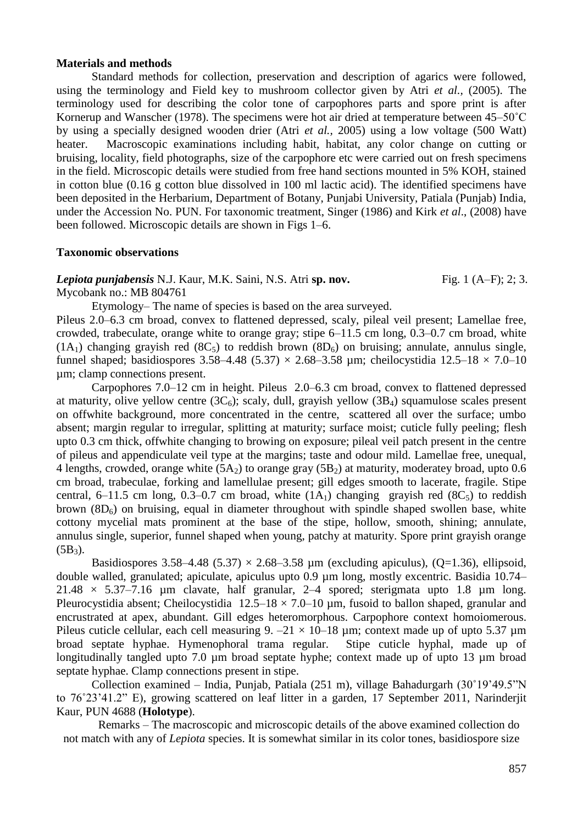#### **Materials and methods**

Standard methods for collection, preservation and description of agarics were followed, using the terminology and Field key to mushroom collector given by Atri *et al.,* (2005). The terminology used for describing the color tone of carpophores parts and spore print is after Kornerup and Wanscher (1978). The specimens were hot air dried at temperature between 45–50<sup>°</sup>C by using a specially designed wooden drier (Atri *et al.,* 2005) using a low voltage (500 Watt) heater. Macroscopic examinations including habit, habitat, any color change on cutting or bruising, locality, field photographs, size of the carpophore etc were carried out on fresh specimens in the field. Microscopic details were studied from free hand sections mounted in 5% KOH, stained in cotton blue (0.16 g cotton blue dissolved in 100 ml lactic acid). The identified specimens have been deposited in the Herbarium, Department of Botany, Punjabi University, Patiala (Punjab) India, under the Accession No. PUN. For taxonomic treatment, Singer (1986) and Kirk *et al*., (2008) have been followed. Microscopic details are shown in Figs 1–6.

#### **Taxonomic observations**

*Lepiota punjabensis* N.J. Kaur, M.K. Saini, N.S. Atri **sp. nov.** Fig. 1 (A–F); 2; 3.

[Mycobank no.: MB 804761](file:///C:\Users\Thisari\Downloads\Mycobank%20no.:%20MB%20803485)

Etymology– The name of species is based on the area surveyed.

Pileus 2.0–6.3 cm broad, convex to flattened depressed, scaly, pileal veil present; Lamellae free, crowded, trabeculate, orange white to orange gray; stipe 6–11.5 cm long, 0.3–0.7 cm broad, white  $(1A_1)$  changing grayish red  $(8C_5)$  to reddish brown  $(8D_6)$  on bruising; annulate, annulus single, funnel shaped; basidiospores 3.58–4.48 (5.37)  $\times$  2.68–3.58 um; cheilocystidia 12.5–18  $\times$  7.0–10 µm; clamp connections present.

Carpophores 7.0–12 cm in height. Pileus 2.0–6.3 cm broad, convex to flattened depressed at maturity, olive yellow centre  $(3C_6)$ ; scaly, dull, grayish yellow  $(3B_4)$  squamulose scales present on offwhite background, more concentrated in the centre, scattered all over the surface; umbo absent; margin regular to irregular, splitting at maturity; surface moist; cuticle fully peeling; flesh upto 0.3 cm thick, offwhite changing to browing on exposure; pileal veil patch present in the centre of pileus and appendiculate veil type at the margins; taste and odour mild. Lamellae free, unequal, 4 lengths, crowded, orange white  $(5A_2)$  to orange gray  $(5B_2)$  at maturity, moderatey broad, upto 0.6 cm broad, trabeculae, forking and lamellulae present; gill edges smooth to lacerate, fragile. Stipe central, 6–11.5 cm long, 0.3–0.7 cm broad, white  $(1A<sub>1</sub>)$  changing grayish red  $(8C<sub>5</sub>)$  to reddish brown  $(8D<sub>6</sub>)$  on bruising, equal in diameter throughout with spindle shaped swollen base, white cottony mycelial mats prominent at the base of the stipe, hollow, smooth, shining; annulate, annulus single, superior, funnel shaped when young, patchy at maturity. Spore print grayish orange  $(5B_3)$ .

Basidiospores 3.58–4.48 (5.37)  $\times$  2.68–3.58 um (excluding apiculus), (O=1.36), ellipsoid, double walled, granulated; apiculate, apiculus upto 0.9 um long, mostly excentric. Basidia 10.74– 21.48  $\times$  5.37–7.16 µm clavate, half granular, 2–4 spored; sterigmata upto 1.8 µm long. Pleurocystidia absent; Cheilocystidia  $12.5-18 \times 7.0-10$  µm, fusoid to ballon shaped, granular and encrustrated at apex, abundant. Gill edges heteromorphous. Carpophore context homoiomerous. Pileus cuticle cellular, each cell measuring 9.  $-21 \times 10-18$  µm; context made up of upto 5.37 µm broad septate hyphae. Hymenophoral trama regular. Stipe cuticle hyphal, made up of longitudinally tangled upto 7.0 µm broad septate hyphe; context made up of upto 13 µm broad septate hyphae. Clamp connections present in stipe.

Collection examined – India, Punjab, Patiala (251 m), village Bahadurgarh (30˚19'49.5"N to 76˚23'41.2" E), growing scattered on leaf litter in a garden, 17 September 2011, Narinderjit Kaur, PUN 4688 (**Holotype**).

Remarks – The macroscopic and microscopic details of the above examined collection do not match with any of *Lepiota* species. It is somewhat similar in its color tones, basidiospore size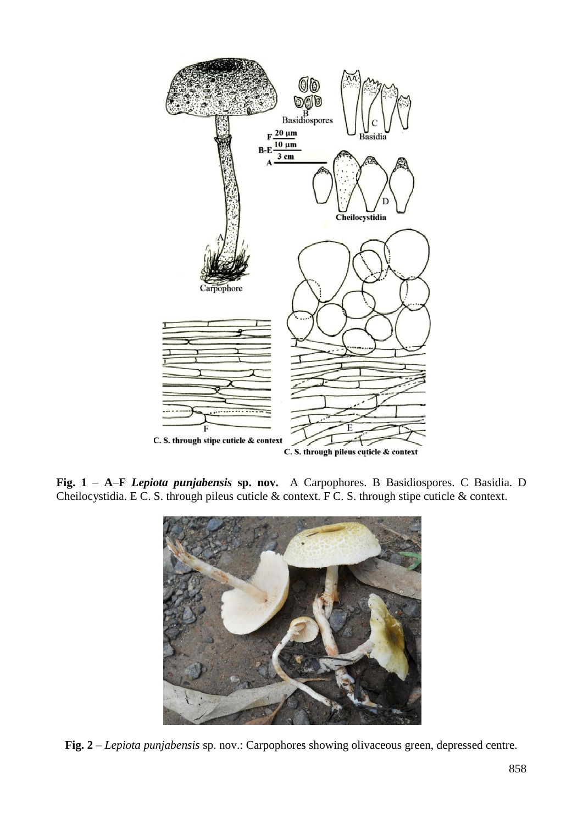

**Fig. 1** – **A**–**F** *Lepiota punjabensis* **sp. nov.** A Carpophores. B Basidiospores. C Basidia. D Cheilocystidia. E C. S. through pileus cuticle & context. F C. S. through stipe cuticle & context.



**Fig. 2** – *Lepiota punjabensis* sp. nov.: Carpophores showing olivaceous green, depressed centre.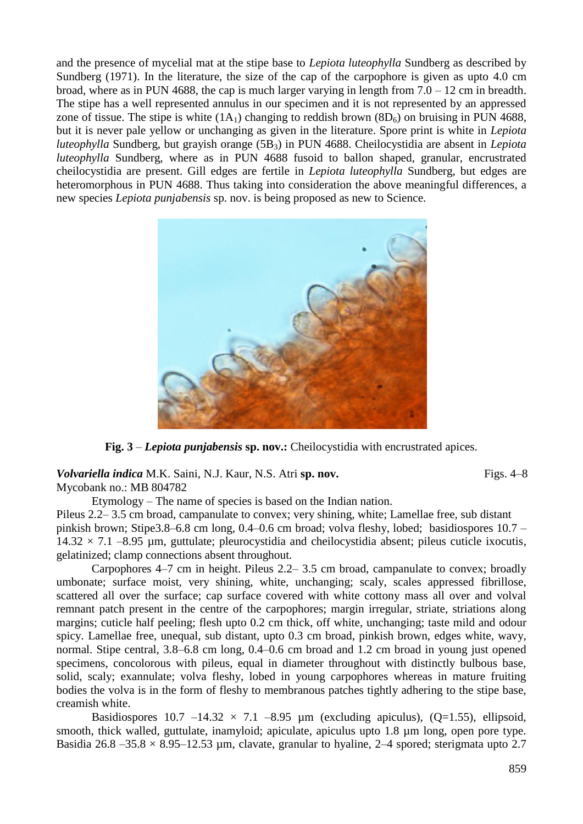and the presence of mycelial mat at the stipe base to *Lepiota luteophylla* Sundberg as described by Sundberg (1971). In the literature, the size of the cap of the carpophore is given as upto 4.0 cm broad, where as in PUN 4688, the cap is much larger varying in length from  $7.0 - 12$  cm in breadth. The stipe has a well represented annulus in our specimen and it is not represented by an appressed zone of tissue. The stipe is white  $(1A_1)$  changing to reddish brown  $(8D_6)$  on bruising in PUN 4688, but it is never pale yellow or unchanging as given in the literature. Spore print is white in *Lepiota luteophylla* Sundberg, but grayish orange (5B<sub>3</sub>) in PUN 4688. Cheilocystidia are absent in *Lepiota luteophylla* Sundberg, where as in PUN 4688 fusoid to ballon shaped, granular, encrustrated cheilocystidia are present. Gill edges are fertile in *Lepiota luteophylla* Sundberg, but edges are heteromorphous in PUN 4688. Thus taking into consideration the above meaningful differences, a new species *Lepiota punjabensis* sp. nov. is being proposed as new to Science.



**Fig. 3** – *Lepiota punjabensis* **sp. nov.:** Cheilocystidia with encrustrated apices.

*Volvariella indica* M.K. Saini, N.J. Kaur, N.S. Atri **sp. nov.** Figs. 4–8 [Mycobank no.: MB 804782](file:///C:\Users\Thisari\Downloads\Mycobank%20no.:%20MB%20803485)

Etymology – The name of species is based on the Indian nation. Pileus 2.2– 3.5 cm broad, campanulate to convex; very shining, white; Lamellae free, sub distant pinkish brown; Stipe3.8–6.8 cm long, 0.4–0.6 cm broad; volva fleshy, lobed; basidiospores 10.7 –  $14.32 \times 7.1$  –8.95 µm, guttulate; pleurocystidia and cheilocystidia absent; pileus cuticle ixocutis, gelatinized; clamp connections absent throughout.

Carpophores 4–7 cm in height. Pileus 2.2– 3.5 cm broad, campanulate to convex; broadly umbonate; surface moist, very shining, white, unchanging; scaly, scales appressed fibrillose, scattered all over the surface; cap surface covered with white cottony mass all over and volval remnant patch present in the centre of the carpophores; margin irregular, striate, striations along margins; cuticle half peeling; flesh upto 0.2 cm thick, off white, unchanging; taste mild and odour spicy. Lamellae free, unequal, sub distant, upto 0.3 cm broad, pinkish brown, edges white, wavy, normal. Stipe central, 3.8–6.8 cm long, 0.4–0.6 cm broad and 1.2 cm broad in young just opened specimens, concolorous with pileus, equal in diameter throughout with distinctly bulbous base, solid, scaly; exannulate; volva fleshy, lobed in young carpophores whereas in mature fruiting bodies the volva is in the form of fleshy to membranous patches tightly adhering to the stipe base, creamish white.

Basidiospores  $10.7 -14.32 \times 7.1 -8.95 \mu m$  (excluding apiculus), (Q=1.55), ellipsoid, smooth, thick walled, guttulate, inamyloid; apiculate, apiculus upto 1.8 µm long, open pore type. Basidia 26.8 –35.8  $\times$  8.95–12.53 um, clavate, granular to hyaline, 2–4 spored; sterigmata upto 2.7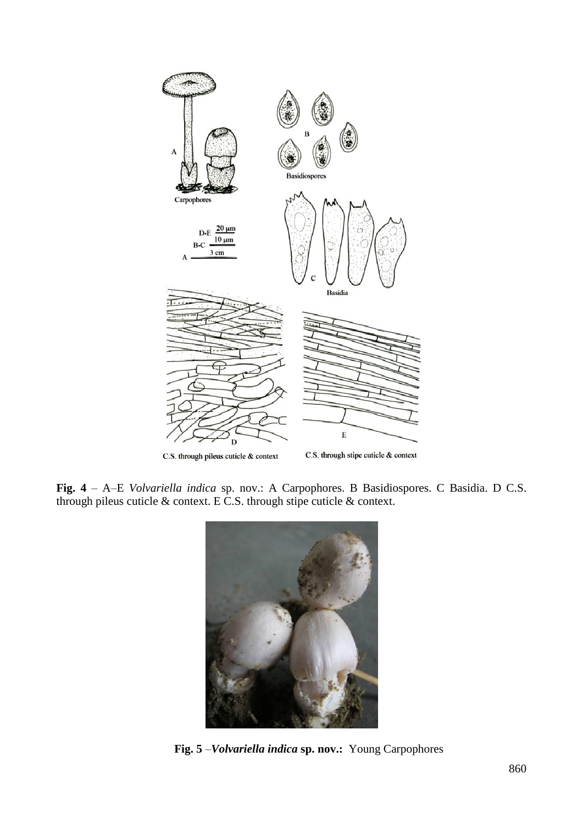

**Fig. 4** – A–E *Volvariella indica* sp. nov.: A Carpophores. B Basidiospores. C Basidia. D C.S. through pileus cuticle & context. E C.S. through stipe cuticle & context.



**Fig. 5** –*Volvariella indica* **sp. nov.:** Young Carpophores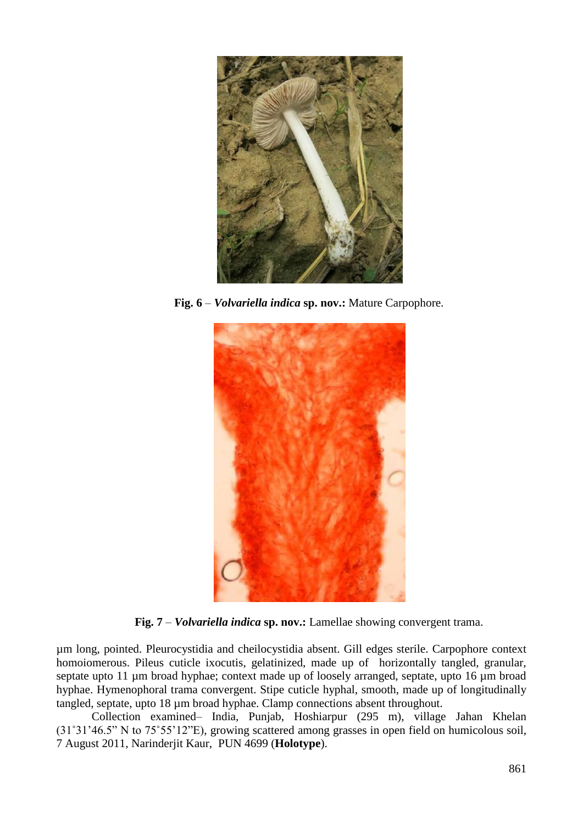

**Fig. 6** – *Volvariella indica* **sp. nov.:** Mature Carpophore.



**Fig. 7** – *Volvariella indica* **sp. nov.:** Lamellae showing convergent trama.

µm long, pointed. Pleurocystidia and cheilocystidia absent. Gill edges sterile. Carpophore context homoiomerous. Pileus cuticle ixocutis, gelatinized, made up of horizontally tangled, granular, septate upto 11 µm broad hyphae; context made up of loosely arranged, septate, upto 16 µm broad hyphae. Hymenophoral trama convergent. Stipe cuticle hyphal, smooth, made up of longitudinally tangled, septate, upto 18 µm broad hyphae. Clamp connections absent throughout.

Collection examined– India, Punjab, Hoshiarpur (295 m), village Jahan Khelan (31˚31'46.5" N to 75˚55'12"E), growing scattered among grasses in open field on humicolous soil, 7 August 2011, Narinderjit Kaur, PUN 4699 (**Holotype**).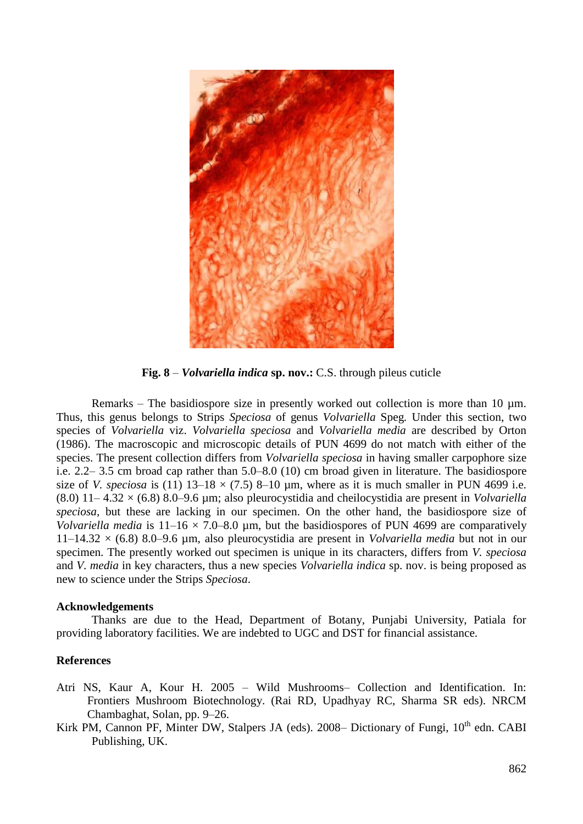

**Fig. 8** – *Volvariella indica* **sp. nov.:** C.S. through pileus cuticle

Remarks – The basidiospore size in presently worked out collection is more than 10 um. Thus, this genus belongs to Strips *Speciosa* of genus *Volvariella* Speg*.* Under this section, two species of *Volvariella* viz. *Volvariella speciosa* and *Volvariella media* are described by Orton (1986). The macroscopic and microscopic details of PUN 4699 do not match with either of the species. The present collection differs from *Volvariella speciosa* in having smaller carpophore size i.e. 2.2– 3.5 cm broad cap rather than 5.0–8.0 (10) cm broad given in literature. The basidiospore size of *V. speciosa* is (11)  $13-18 \times (7.5)$  8-10  $\mu$ m, where as it is much smaller in PUN 4699 i.e. (8.0) 11– 4.32 × (6.8) 8.0–9.6 µm; also pleurocystidia and cheilocystidia are present in *Volvariella speciosa,* but these are lacking in our specimen. On the other hand, the basidiospore size of *Volvariella media* is  $11-16 \times 7.0-8.0$  µm, but the basidiospores of PUN 4699 are comparatively 11–14.32 × (6.8) 8.0–9.6 µm, also pleurocystidia are present in *Volvariella media* but not in our specimen. The presently worked out specimen is unique in its characters, differs from *V. speciosa*  and *V. media* in key characters, thus a new species *Volvariella indica* sp. nov. is being proposed as new to science under the Strips *Speciosa*.

## **Acknowledgements**

Thanks are due to the Head, Department of Botany, Punjabi University, Patiala for providing laboratory facilities. We are indebted to UGC and DST for financial assistance.

## **References**

- Atri NS, Kaur A, Kour H. 2005 Wild Mushrooms– Collection and Identification. In: Frontiers Mushroom Biotechnology. (Rai RD, Upadhyay RC, Sharma SR eds). NRCM Chambaghat, Solan, pp. 9–26.
- Kirk PM, Cannon PF, Minter DW, Stalpers JA (eds). 2008– Dictionary of Fungi, 10<sup>th</sup> edn. CABI Publishing, UK.